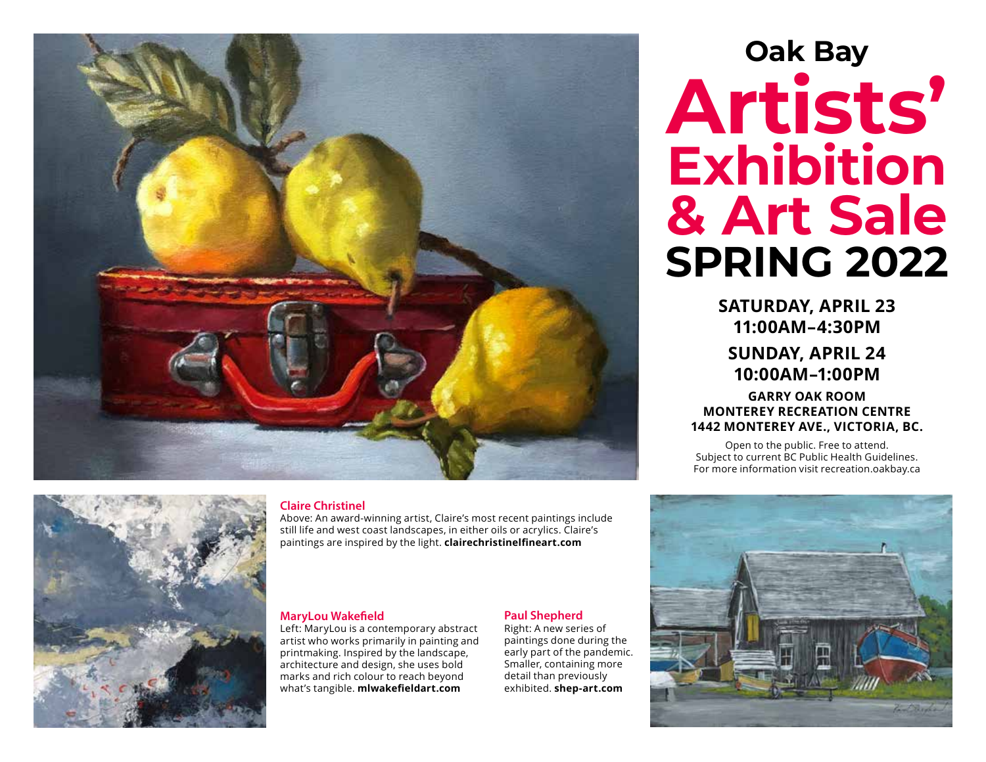



#### **Claire Christinel**

Above: An award-winning artist, Claire's most recent paintings include still life and west coast landscapes, in either oils or acrylics. Claire's paintings are inspired by the light. **clairechristinelfineart.com**

#### **MaryLou Wakefield**

Left: MaryLou is a contemporary abstract artist who works primarily in painting and printmaking. Inspired by the landscape, architecture and design, she uses bold marks and rich colour to reach beyond what's tangible. **mlwakefieldart.com**

#### **Paul Shepherd**

Right: A new series of paintings done during the early part of the pandemic. Smaller, containing more detail than previously exhibited. **shep-art.com**

# **Oak Bay Artists' Exhibition & Art Sale SPRING 2022**

**SATURDAY, APRIL 23 11:00AM–4:30PM** 

**SUNDAY, APRIL 24 10:00AM–1:00PM**

**GARRY OAK ROOM MONTEREY RECREATION CENTRE 1442 MONTEREY AVE., VICTORIA, BC.**

Open to the public. Free to attend. Subject to current BC Public Health Guidelines. For more information visit recreation.oakbay.ca

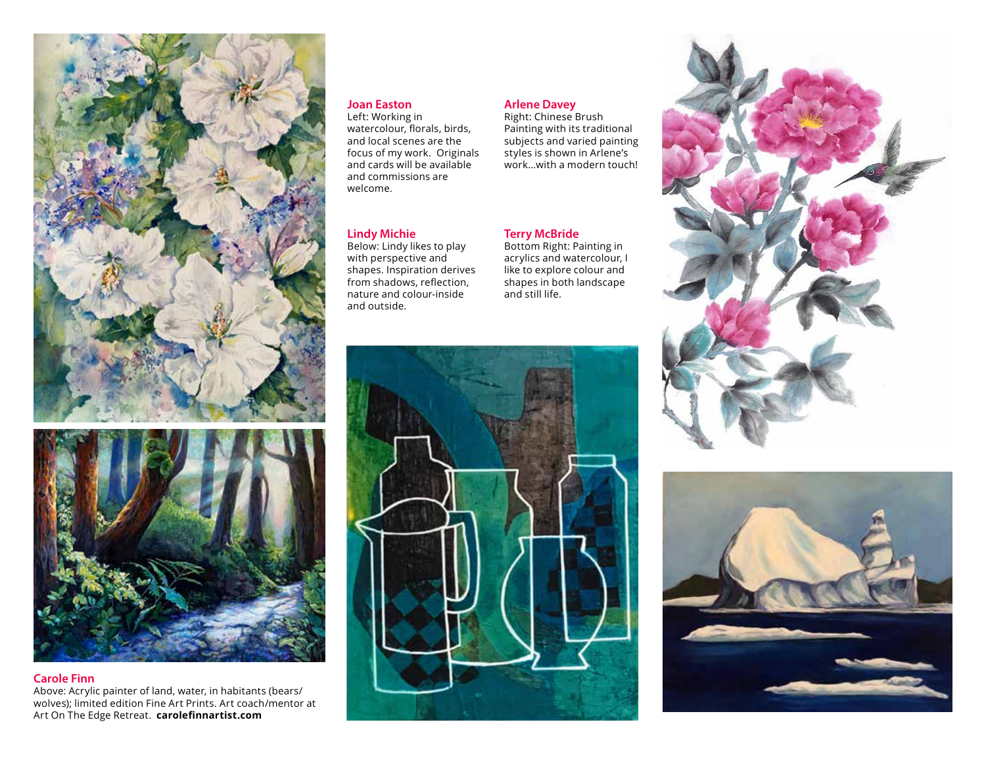

## **Carole Finn**  Above: Acrylic painter of land, water, in habitants (bears/

### wolves); limited edition Fine Art Prints. Art coach/mentor at Art On The Edge Retreat. **carolefinnartist.com**

#### **Joan Easton**

Left: Working in watercolour, florals, birds, and local scenes are the focus of my work. Originals and cards will be available and commissions are welcome.

#### **Lindy Michie**

Below: Lindy likes to play with perspective and shapes. Inspiration derives from shadows, reflection, nature and colour-inside and outside.

#### **Arlene Davey**

Right: Chinese Brush Painting with its traditional subjects and varied painting styles is shown in Arlene's work…with a modern touch!

#### **Terry McBride**

Bottom Right: Painting in acrylics and watercolour, I like to explore colour and shapes in both landscape and still life.





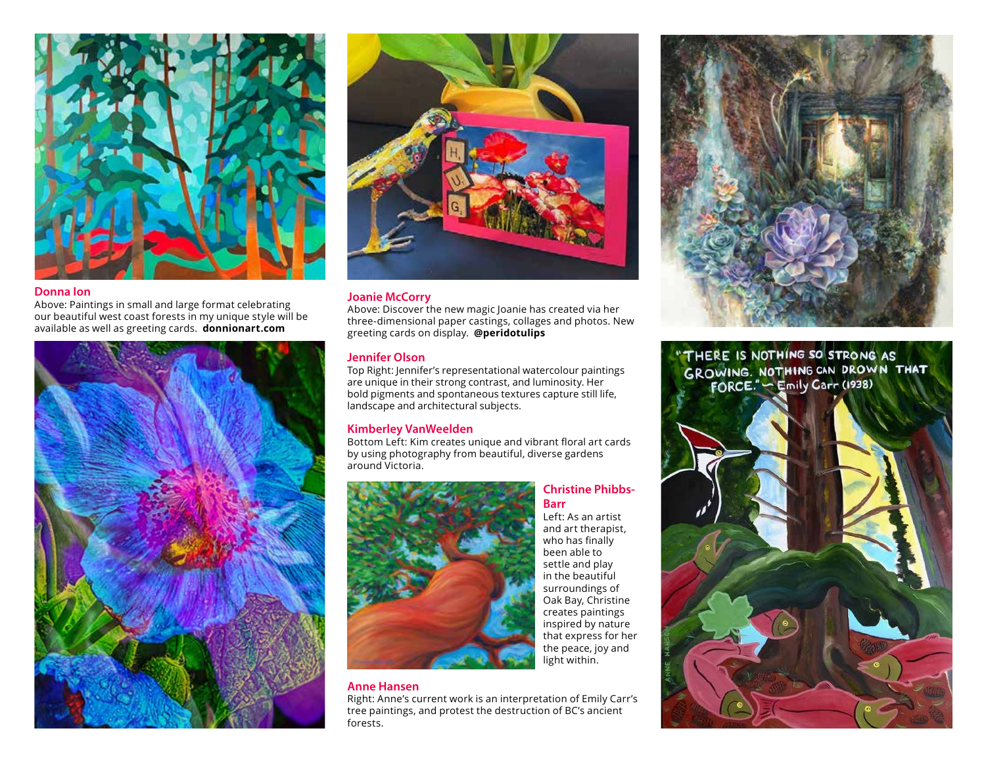

#### **Donna Ion**

Above: Paintings in small and large format celebrating our beautiful west coast forests in my unique style will be available as well as greeting cards. **donnionart.com**





#### **Joanie McCorry**

Above: Discover the new magic Joanie has created via her three-dimensional paper castings, collages and photos. New greeting cards on display. **@peridotulips** 

#### **Jennifer Olson**

Top Right: Jennifer's representational watercolour paintings are unique in their strong contrast, and luminosity. Her bold pigments and spontaneous textures capture still life, landscape and architectural subjects.

#### **Kimberley VanWeelden**

Bottom Left: Kim creates unique and vibrant floral art cards by using photography from beautiful, diverse gardens around Victoria.



#### **Christine Phibbs-Barr**

Left: As an artist and art therapist, who has finally been able to settle and play in the beautiful surroundings of Oak Bay, Christine creates paintings inspired by nature that express for her the peace, joy and light within.

#### **Anne Hansen**

Right: Anne's current work is an interpretation of Emily Carr's tree paintings, and protest the destruction of BC's ancient forests.



"THERE IS NOTHING SO STRONG AS<br>GROWING. NOTHING CAN DROWN THAT